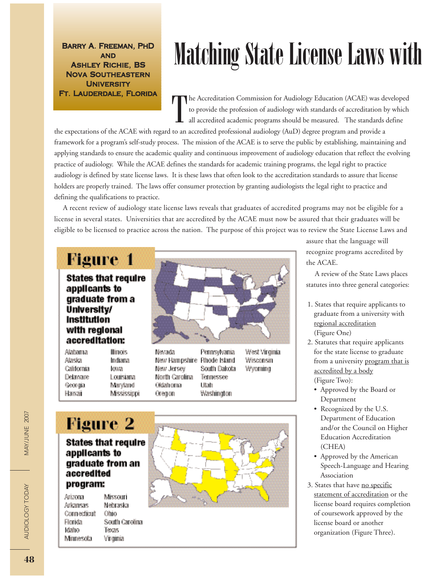**AND** Ashley Richie, BS Nova Southeastern **UNIVERSITY** Ft. Lauderdale, Florida

# BARRY A. FREEMAN, PHD Matching State License Laws with

 $\prod$ he Accreditation Commission for Audiology Education (ACAE) was developed to provide the profession of audiology with standards of accreditation by which all accredited academic programs should be measured. The standards define

the expectations of the ACAE with regard to an accredited professional audiology (AuD) degree program and provide a framework for a program's self-study process. The mission of the ACAE is to serve the public by establishing, maintaining and applying standards to ensure the academic quality and continuous improvement of audiology education that reflect the evolving practice of audiology. While the ACAE defines the standards for academic training programs, the legal right to practice audiology is defined by state license laws. It is these laws that often look to the accreditation standards to assure that license holders are properly trained. The laws offer consumer protection by granting audiologists the legal right to practice and defining the qualifications to practice.

A recent review of audiology state license laws reveals that graduates of accredited programs may not be eligible for a license in several states. Universities that are accredited by the ACAE must now be assured that their graduates will be eligible to be licensed to practice across the nation. The purpose of this project was to review the State License Laws and

# **Figure 1**

**States that require** applicant graduate **University** Institutio with regio accredita

| S 10<br>from a<br>Ø<br>n<br>onal<br>tion: |                                                                      |                                            |                                       |
|-------------------------------------------|----------------------------------------------------------------------|--------------------------------------------|---------------------------------------|
| limois<br>Indiana<br>OWS<br>Louisiana     | Nevada<br>New Hampshire Rhode Island<br>New Jersey<br>North Carolina | Penarsylvania<br>South Dakota<br>tennessee | West Virginia<br>Wisconsin<br>Wyoming |

Alaska California Delaware Louisiana Maryland Georgia Hawaii Mississippi

Alabama

| Penarsylvania | West Vi |
|---------------|---------|
| Pårode Island | Wiscon  |
| South Dakota  | Wyomi   |
| Tennessee     |         |
| l≋ah          |         |
| Washington    |         |

## **Figure 2 States that require** applicants to graduate from an accredited program: Missrerri Asizona

Oklahoma

Oregon

Arkansas Nebraska Connecticut Ohio **Florida** South Carolina dairo lecas Manesota Virginia



assure that the language will recognize programs accredited by the ACAE.

A review of the State Laws places statutes into three general categories:

- 1. States that require applicants to graduate from a university with regional accreditation (Figure One)
- 2. Statutes that require applicants for the state license to graduate from a university program that is accredited by a body (Figure Two):
	- Approved by the Board or Department
	- Recognized by the U.S. Department of Education and/or the Council on Higher Education Accreditation (CHEA)
	- Approved by the American Speech-Language and Hearing Association
- 3. States that have no specific statement of accreditation or the license board requires completion of coursework approved by the license board or another organization (Figure Three).